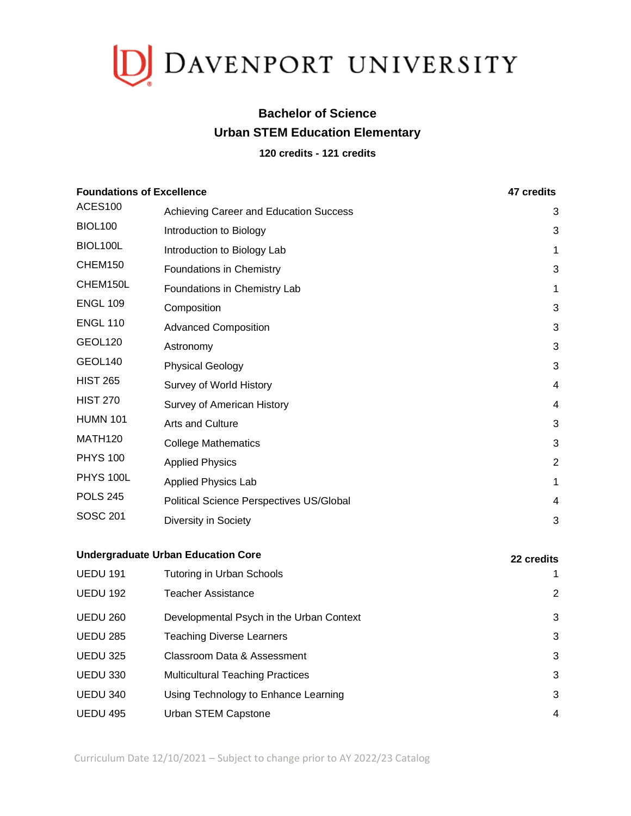

## **Bachelor of Science Urban STEM Education Elementary**

## **120 credits - 121 credits**

| <b>Foundations of Excellence</b> |                                           | 47 credits     |
|----------------------------------|-------------------------------------------|----------------|
| <b>ACES100</b>                   | Achieving Career and Education Success    | 3              |
| <b>BIOL100</b>                   | Introduction to Biology                   | 3              |
| BIOL100L                         | Introduction to Biology Lab               | 1              |
| CHEM150                          | Foundations in Chemistry                  | 3              |
| CHEM150L                         | Foundations in Chemistry Lab              | 1              |
| <b>ENGL 109</b>                  | Composition                               | 3              |
| <b>ENGL 110</b>                  | <b>Advanced Composition</b>               | 3              |
| GEOL120                          | Astronomy                                 | 3              |
| GEOL140                          | <b>Physical Geology</b>                   | 3              |
| <b>HIST 265</b>                  | Survey of World History                   | $\overline{4}$ |
| <b>HIST 270</b>                  | Survey of American History                | $\overline{4}$ |
| <b>HUMN 101</b>                  | Arts and Culture                          | 3              |
| <b>MATH120</b>                   | <b>College Mathematics</b>                | 3              |
| <b>PHYS 100</b>                  | <b>Applied Physics</b>                    | $\overline{2}$ |
| <b>PHYS 100L</b>                 | <b>Applied Physics Lab</b>                | 1              |
| <b>POLS 245</b>                  | Political Science Perspectives US/Global  | 4              |
| <b>SOSC 201</b>                  | Diversity in Society                      | 3              |
|                                  | <b>Undergraduate Urban Education Core</b> | 22 credits     |
| <b>UEDU 191</b>                  | <b>Tutoring in Urban Schools</b>          | 1              |
| <b>UEDU 192</b>                  | <b>Teacher Assistance</b>                 | $\overline{2}$ |
| <b>UEDU 260</b>                  | Developmental Psych in the Urban Context  | 3              |

- UEDU 285 Teaching Diverse Learners 3
- UEDU 325 Classroom Data & Assessment 3 UEDU 330 Multicultural Teaching Practices 3
- UEDU 340 Using Technology to Enhance Learning 33 UEDU 495 Urban STEM Capstone 4